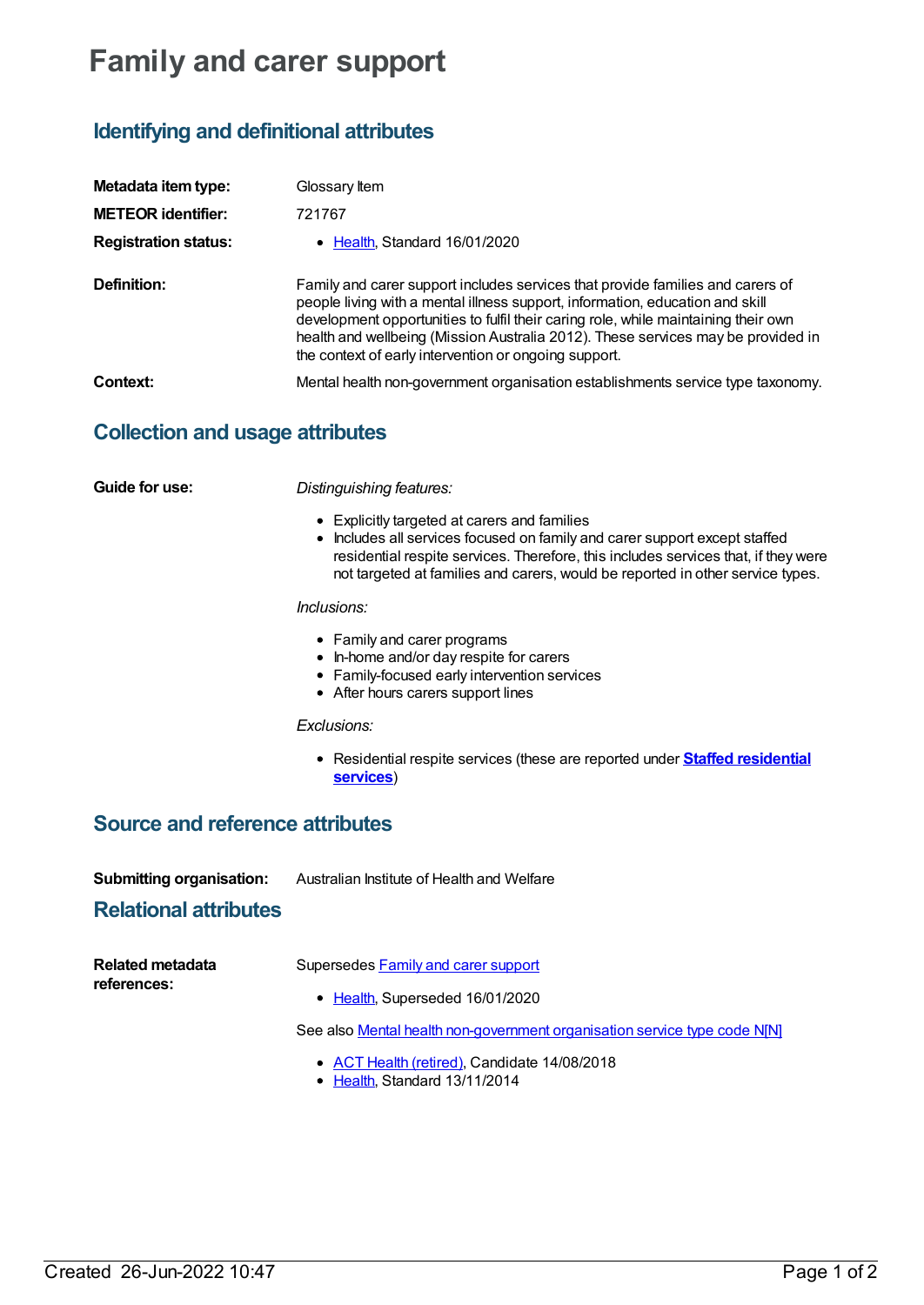# **Family and carer support**

# **Identifying and definitional attributes**

| Metadata item type:<br><b>METEOR identifier:</b> | Glossary Item<br>721767                                                                                                                                                                                                                                                                                                                                                                            |
|--------------------------------------------------|----------------------------------------------------------------------------------------------------------------------------------------------------------------------------------------------------------------------------------------------------------------------------------------------------------------------------------------------------------------------------------------------------|
| <b>Registration status:</b>                      | • Health, Standard 16/01/2020                                                                                                                                                                                                                                                                                                                                                                      |
| Definition:                                      | Family and carer support includes services that provide families and carers of<br>people living with a mental illness support, information, education and skill<br>development opportunities to fulfil their caring role, while maintaining their own<br>health and wellbeing (Mission Australia 2012). These services may be provided in<br>the context of early intervention or ongoing support. |
| Context:                                         | Mental health non-government organisation establishments service type taxonomy.                                                                                                                                                                                                                                                                                                                    |

# **Collection and usage attributes**

**Guide for use:** *Distinguishing features:*

- Explicitly targeted at carers and families
- Includes all services focused on family and carer support except staffed residential respite services. Therefore, this includes services that, if they were not targeted at families and carers, would be reported in other service types.

#### *Inclusions:*

- Family and carer programs
- In-home and/or day respite for carers
- Family-focused early intervention services
- After hours carers support lines

#### *Exclusions:*

Residential respite services (these are reported under **Staffed [residential](https://meteor.aihw.gov.au/content/721761) services**)

## **Source and reference attributes**

| <b>Submitting organisation:</b> | Australian Institute of Health and Welfare |
|---------------------------------|--------------------------------------------|
|---------------------------------|--------------------------------------------|

### **Relational attributes**

| <b>Related metadata</b><br>references: | Supersedes Family and carer support                                       |
|----------------------------------------|---------------------------------------------------------------------------|
|                                        | • Health, Superseded 16/01/2020                                           |
|                                        | See also Mental health non-government organisation service type code NINI |

- ACT Health [\(retired\)](https://meteor.aihw.gov.au/RegistrationAuthority/9), Candidate 14/08/2018
- [Health](https://meteor.aihw.gov.au/RegistrationAuthority/12), Standard 13/11/2014